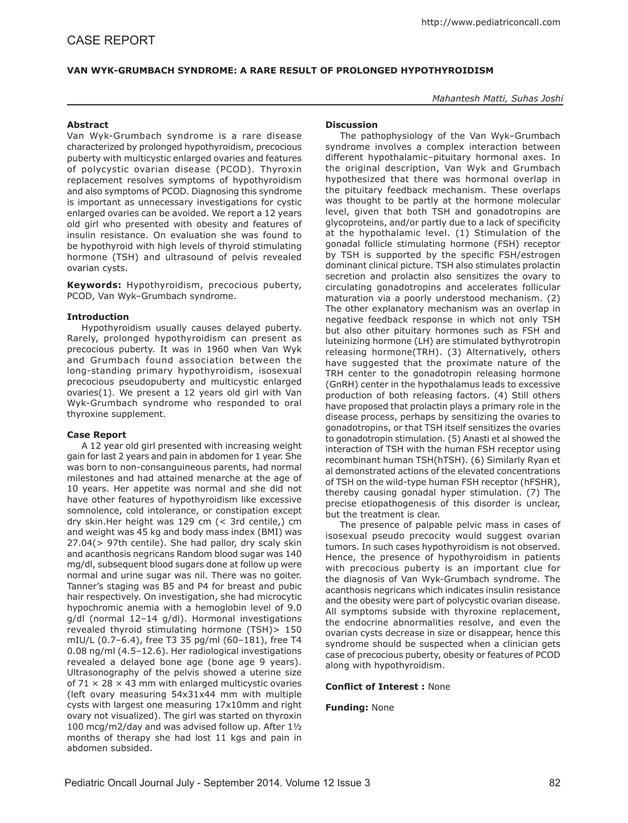# **Van Wyk-Grumbach syndrome: A Rare Result of Prolonged Hypothyroidism**

*Mahantesh Matti, Suhas Joshi*

## **Abstract**

Van Wyk-Grumbach syndrome is a rare disease characterized by prolonged hypothyroidism, precocious puberty with multicystic enlarged ovaries and features of polycystic ovarian disease (PCOD). Thyroxin replacement resolves symptoms of hypothyroidism and also symptoms of PCOD. Diagnosing this syndrome is important as unnecessary investigations for cystic enlarged ovaries can be avoided. We report a 12 years old girl who presented with obesity and features of insulin resistance. On evaluation she was found to be hypothyroid with high levels of thyroid stimulating hormone (TSH) and ultrasound of pelvis revealed ovarian cysts.

**Keywords:** Hypothyroidism, precocious puberty, PCOD, Van Wyk–Grumbach syndrome.

### **Introduction**

Hypothyroidism usually causes delayed puberty. Rarely, prolonged hypothyroidism can present as precocious puberty. It was in 1960 when Van Wyk and Grumbach found association between the long-standing primary hypothyroidism, isosexual precocious pseudopuberty and multicystic enlarged ovaries(1). We present a 12 years old girl with Van Wyk-Grumbach syndrome who responded to oral thyroxine supplement.

#### **Case Report**

A 12 year old girl presented with increasing weight gain for last 2 years and pain in abdomen for 1 year. She was born to non-consanguineous parents, had normal milestones and had attained menarche at the age of 10 years. Her appetite was normal and she did not have other features of hypothyroidism like excessive somnolence, cold intolerance, or constipation except dry skin.Her height was 129 cm (< 3rd centile,) cm and weight was 45 kg and body mass index (BMI) was 27.04(> 97th centile). She had pallor, dry scaly skin and acanthosis negricans Random blood sugar was 140 mg/dl, subsequent blood sugars done at follow up were normal and urine sugar was nil. There was no goiter. Tanner's staging was B5 and P4 for breast and pubic hair respectively. On investigation, she had microcytic hypochromic anemia with a hemoglobin level of 9.0 g/dl (normal 12–14 g/dl). Hormonal investigations revealed thyroid stimulating hormone (TSH)> 150 mIU/L (0.7–6.4), free T3 35 pg/ml (60–181), free T4 0.08 ng/ml (4.5–12.6). Her radiological investigations revealed a delayed bone age (bone age 9 years). Ultrasonography of the pelvis showed a uterine size of  $71 \times 28 \times 43$  mm with enlarged multicystic ovaries (left ovary measuring 54x31x44 mm with multiple cysts with largest one measuring 17x10mm and right ovary not visualized). The girl was started on thyroxin 100 mcg/m2/day and was advised follow up. After 1½ months of therapy she had lost 11 kgs and pain in abdomen subsided.

## **Discussion**

The pathophysiology of the Van Wyk–Grumbach syndrome involves a complex interaction between different hypothalamic–pituitary hormonal axes. In the original description, Van Wyk and Grumbach hypothesized that there was hormonal overlap in the pituitary feedback mechanism. These overlaps was thought to be partly at the hormone molecular level, given that both TSH and gonadotropins are glycoproteins, and/or partly due to a lack of specificity at the hypothalamic level. (1) Stimulation of the gonadal follicle stimulating hormone (FSH) receptor by TSH is supported by the specific FSH/estrogen dominant clinical picture. TSH also stimulates prolactin secretion and prolactin also sensitizes the ovary to circulating gonadotropins and accelerates follicular maturation via a poorly understood mechanism. (2) The other explanatory mechanism was an overlap in negative feedback response in which not only TSH but also other pituitary hormones such as FSH and luteinizing hormone (LH) are stimulated bythyrotropin releasing hormone(TRH). (3) Alternatively, others have suggested that the proximate nature of the TRH center to the gonadotropin releasing hormone (GnRH) center in the hypothalamus leads to excessive production of both releasing factors. (4) Still others have proposed that prolactin plays a primary role in the disease process, perhaps by sensitizing the ovaries to gonadotropins, or that TSH itself sensitizes the ovaries to gonadotropin stimulation. (5) Anasti et al showed the interaction of TSH with the human FSH receptor using recombinant human TSH(hTSH). (6) Similarly Ryan et al demonstrated actions of the elevated concentrations of TSH on the wild-type human FSH receptor (hFSHR), thereby causing gonadal hyper stimulation. (7) The precise etiopathogenesis of this disorder is unclear, but the treatment is clear.

The presence of palpable pelvic mass in cases of isosexual pseudo precocity would suggest ovarian tumors. In such cases hypothyroidism is not observed. Hence, the presence of hypothyroidism in patients with precocious puberty is an important clue for the diagnosis of Van Wyk-Grumbach syndrome. The acanthosis negricans which indicates insulin resistance and the obesity were part of polycystic ovarian disease. All symptoms subside with thyroxine replacement, the endocrine abnormalities resolve, and even the ovarian cysts decrease in size or disappear, hence this syndrome should be suspected when a clinician gets case of precocious puberty, obesity or features of PCOD along with hypothyroidism.

#### **Conflict of Interest :** None

# **Funding:** None